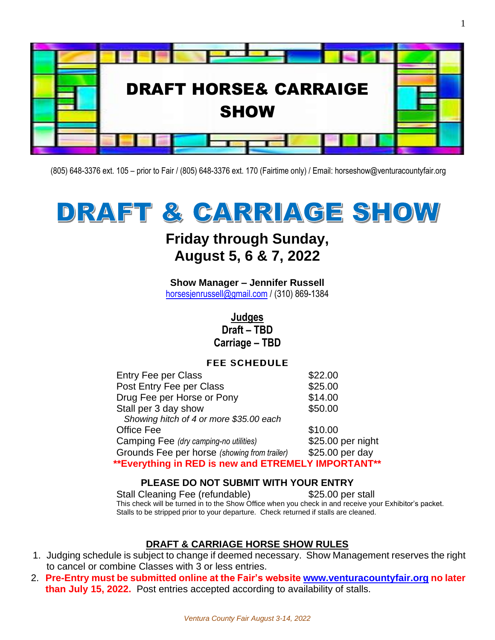

(805) 648-3376 ext. 105 – prior to Fair / (805) 648-3376 ext. 170 (Fairtime only) / Email: horseshow@venturacountyfair.org

# DRAFT & CARRIAGE SHOW

### **Friday through Sunday, August 5, 6 & 7, 2022**

**Show Manager – Jennifer Russell** [horsesjenrussell@gmail.com](mailto:horsesjenrussell@gmail.com%20/%20(310)) / (310) 869-1384

### **Judges Draft – TBD Carriage – TBD**

### **FEE SCHEDULE**

| <b>Entry Fee per Class</b>                          | \$22.00           |
|-----------------------------------------------------|-------------------|
| Post Entry Fee per Class                            | \$25.00           |
| Drug Fee per Horse or Pony                          | \$14.00           |
| Stall per 3 day show                                | \$50.00           |
| Showing hitch of 4 or more \$35.00 each             |                   |
| Office Fee                                          | \$10.00           |
| Camping Fee (dry camping-no utilities)              | \$25.00 per night |
| Grounds Fee per horse (showing from trailer)        | \$25.00 per day   |
| **Everything in RED is new and ETREMELY IMPORTANT** |                   |

### **PLEASE DO NOT SUBMIT WITH YOUR ENTRY**

Stall Cleaning Fee (refundable) \$25.00 per stall This check will be turned in to the Show Office when you check in and receive your Exhibitor's packet. Stalls to be stripped prior to your departure. Check returned if stalls are cleaned.

### **DRAFT & CARRIAGE HORSE SHOW RULES**

- 1. Judging schedule is subject to change if deemed necessary. Show Management reserves the right to cancel or combine Classes with 3 or less entries.
- 2. **Pre-Entry must be submitted online at the Fair's website [www.venturacountyfair.org](http://www.venturacountyfair.org/) no later than July 15, 2022.** Post entries accepted according to availability of stalls.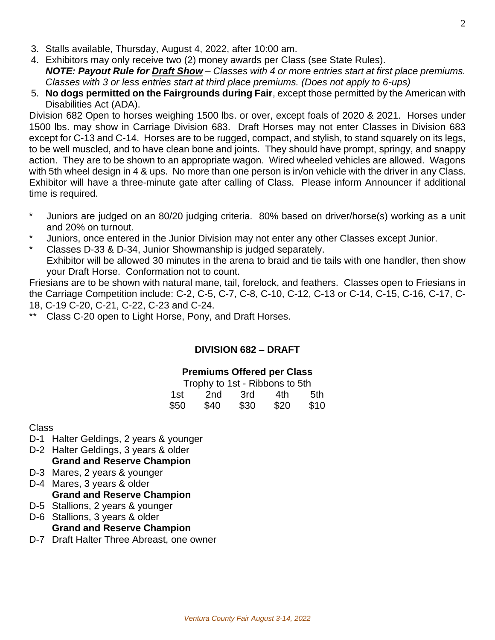- 3. Stalls available, Thursday, August 4, 2022, after 10:00 am.
- 4. Exhibitors may only receive two (2) money awards per Class (see State Rules). *NOTE: Payout Rule for Draft Show – Classes with 4 or more entries start at first place premiums. Classes with 3 or less entries start at third place premiums. (Does not apply to 6-ups)*
- 5. **No dogs permitted on the Fairgrounds during Fair**, except those permitted by the American with Disabilities Act (ADA).

Division 682 Open to horses weighing 1500 lbs. or over, except foals of 2020 & 2021. Horses under 1500 lbs. may show in Carriage Division 683. Draft Horses may not enter Classes in Division 683 except for C-13 and C-14. Horses are to be rugged, compact, and stylish, to stand squarely on its legs, to be well muscled, and to have clean bone and joints. They should have prompt, springy, and snappy action. They are to be shown to an appropriate wagon. Wired wheeled vehicles are allowed. Wagons with 5th wheel design in 4 & ups. No more than one person is in/on vehicle with the driver in any Class. Exhibitor will have a three-minute gate after calling of Class. Please inform Announcer if additional time is required.

- \* Juniors are judged on an 80/20 judging criteria. 80% based on driver/horse(s) working as a unit and 20% on turnout.
- Juniors, once entered in the Junior Division may not enter any other Classes except Junior.
- Classes D-33 & D-34, Junior Showmanship is judged separately.

Exhibitor will be allowed 30 minutes in the arena to braid and tie tails with one handler, then show your Draft Horse. Conformation not to count.

Friesians are to be shown with natural mane, tail, forelock, and feathers. Classes open to Friesians in the Carriage Competition include: C-2, C-5, C-7, C-8, C-10, C-12, C-13 or C-14, C-15, C-16, C-17, C-18, C-19 C-20, C-21, C-22, C-23 and C-24.

\*\* Class C-20 open to Light Horse, Pony, and Draft Horses.

### **DIVISION 682 – DRAFT**

### **Premiums Offered per Class**

| Trophy to 1st - Ribbons to 5th |      |      |      |      |
|--------------------------------|------|------|------|------|
| 1st.                           | 2nd  | 3rd  | 4th  | .5th |
| \$50                           | \$40 | \$30 | \$20 | \$10 |

Class

- D-1 Halter Geldings, 2 years & younger
- D-2 Halter Geldings, 3 years & older **Grand and Reserve Champion**
- D-3 Mares, 2 years & younger
- D-4 Mares, 3 years & older **Grand and Reserve Champion**
- D-5 Stallions, 2 years & younger
- D-6 Stallions, 3 years & older
	- **Grand and Reserve Champion**
- D-7 Draft Halter Three Abreast, one owner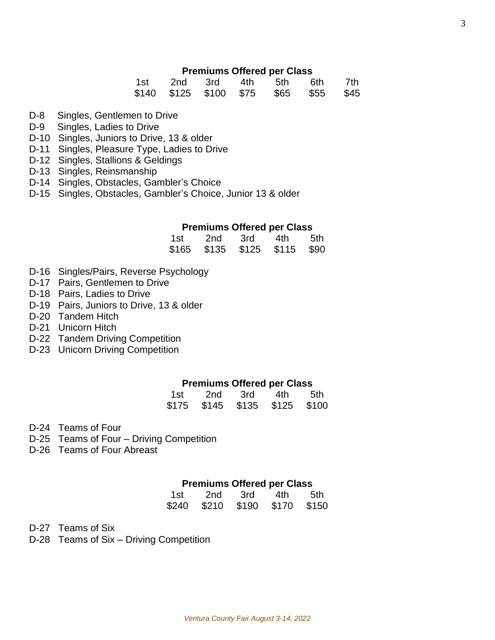#### **Premiums Offered per Class**

| 1st | 2nd 3rd | 4th | 5th 6th                               | 7th |
|-----|---------|-----|---------------------------------------|-----|
|     |         |     | \$140 \$125 \$100 \$75 \$65 \$55 \$45 |     |

- D-8 Singles, Gentlemen to Drive
- D-9 Singles, Ladies to Drive
- D-10 Singles, Juniors to Drive, 13 & older
- D-11 Singles, Pleasure Type, Ladies to Drive
- D-12 Singles, Stallions & Geldings
- D-13 Singles, Reinsmanship
- D-14 Singles, Obstacles, Gambler's Choice
- D-15 Singles, Obstacles, Gambler's Choice, Junior 13 & older

#### **Premiums Offered per Class**

| 1st   | 2nd   | 3rd   | 4th   | 5th. |
|-------|-------|-------|-------|------|
| \$165 | \$135 | \$125 | \$115 | \$90 |

- D-16 Singles/Pairs, Reverse Psychology
- D-17 Pairs, Gentlemen to Drive
- D-18 Pairs, Ladies to Drive
- D-19 Pairs, Juniors to Drive, 13 & older
- D-20 Tandem Hitch
- D-21 Unicorn Hitch
- D-22 Tandem Driving Competition
- D-23 Unicorn Driving Competition

#### **Premiums Offered per Class**

| 1st   | 2nd   | 3rd   | 4th.  | 5th   |
|-------|-------|-------|-------|-------|
| \$175 | \$145 | \$135 | \$125 | \$100 |

D-24 Teams of Four

- D-25 Teams of Four Driving Competition
- D-26 Teams of Four Abreast

#### **Premiums Offered per Class**

| 1st.  | 2nd   | .3rd  | 4th.  | .5th  |
|-------|-------|-------|-------|-------|
| \$240 | \$210 | \$190 | \$170 | \$150 |

D-27 Teams of Six

D-28 Teams of Six – Driving Competition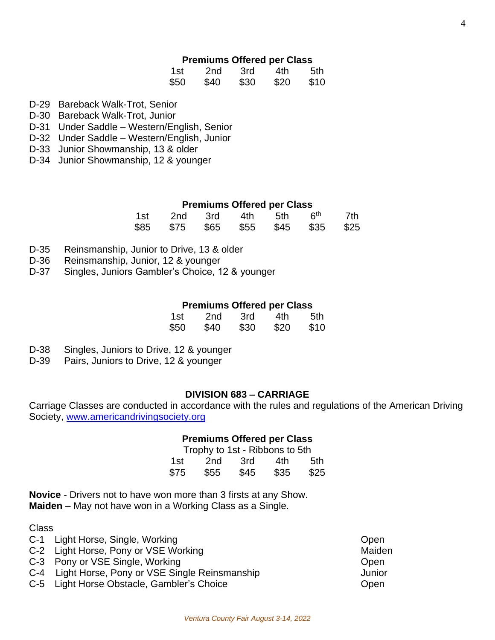### **Premiums Offered per Class**

| 1st  | 2nd  | 3rd  | 4th  | 5th  |
|------|------|------|------|------|
| \$50 | \$40 | \$30 | \$20 | \$10 |

- D-29 Bareback Walk-Trot, Senior
- D-30 Bareback Walk-Trot, Junior
- D-31 Under Saddle Western/English, Senior
- D-32 Under Saddle Western/English, Junior
- D-33 Junior Showmanship, 13 & older
- D-34 Junior Showmanship, 12 & younger

#### **Premiums Offered per Class**

| 1st | 2nd 3rd                            |  | 4th 5th | 6 <sup>th</sup> | 7th |
|-----|------------------------------------|--|---------|-----------------|-----|
|     | \$85 \$75 \$65 \$55 \$45 \$35 \$25 |  |         |                 |     |

- D-35 Reinsmanship, Junior to Drive, 13 & older
- D-36 Reinsmanship, Junior, 12 & younger
- D-37 Singles, Juniors Gambler's Choice, 12 & younger

#### **Premiums Offered per Class**

| 1st  | 2nd  | 3rd  | 4th  | 5th  |
|------|------|------|------|------|
| \$50 | \$40 | \$30 | \$20 | \$10 |

- D-38 Singles, Juniors to Drive, 12 & younger
- D-39 Pairs, Juniors to Drive, 12 & younger

### **DIVISION 683 – CARRIAGE**

Carriage Classes are conducted in accordance with the rules and regulations of the American Driving Society, [www.americandrivingsociety.org](http://www.americandrivingsociety.org/)

#### **Premiums Offered per Class**

| Trophy to 1st - Ribbons to 5th |      |      |      |      |
|--------------------------------|------|------|------|------|
| 1st.                           | 2nd  | .3rd | 4th  | 5th  |
| \$75                           | \$55 | \$45 | \$35 | \$25 |

**Novice** - Drivers not to have won more than 3 firsts at any Show. **Maiden** – May not have won in a Working Class as a Single.

Class

- C-1 Light Horse, Single, Working Contract Contract Contract Contract Contract Contract Contract Contract Contract Contract Contract Contract Contract Contract Contract Contract Contract Contract Contract Contract Contract
- C-2 Light Horse, Pony or VSE Working Maiden
- C-3 Pony or VSE Single, Working C-3 Pony or VSE Single, Working
- C-4 Light Horse, Pony or VSE Single Reinsmanship Junior
- C-5 Light Horse Obstacle, Gambler's Choice C-5 Light Horse Open
-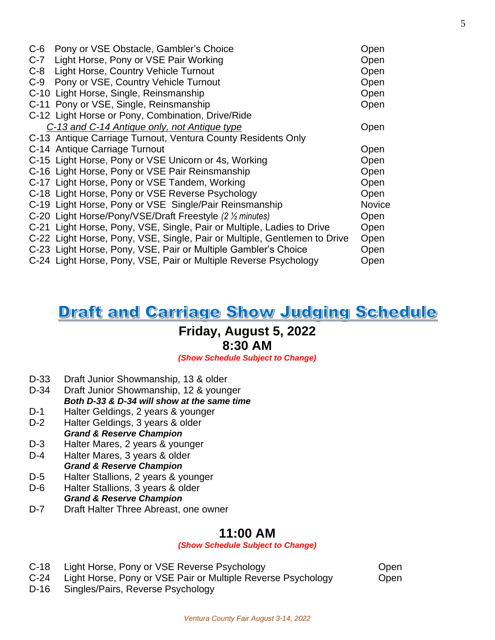| $C-6$ | Pony or VSE Obstacle, Gambler's Choice                                    | Open   |
|-------|---------------------------------------------------------------------------|--------|
| $C-7$ | Light Horse, Pony or VSE Pair Working                                     | Open   |
| $C-8$ | Light Horse, Country Vehicle Turnout                                      | Open   |
| $C-9$ | Pony or VSE, Country Vehicle Turnout                                      | Open   |
|       | C-10 Light Horse, Single, Reinsmanship                                    | Open   |
|       | C-11 Pony or VSE, Single, Reinsmanship                                    | Open   |
|       | C-12 Light Horse or Pony, Combination, Drive/Ride                         |        |
|       | C-13 and C-14 Antique only, not Antique type                              | Open   |
|       | C-13 Antique Carriage Turnout, Ventura County Residents Only              |        |
|       | C-14 Antique Carriage Turnout                                             | Open   |
|       | C-15 Light Horse, Pony or VSE Unicorn or 4s, Working                      | Open   |
|       | C-16 Light Horse, Pony or VSE Pair Reinsmanship                           | Open   |
|       | C-17 Light Horse, Pony or VSE Tandem, Working                             | Open   |
|       | C-18 Light Horse, Pony or VSE Reverse Psychology                          | Open   |
|       | C-19 Light Horse, Pony or VSE Single/Pair Reinsmanship                    | Novice |
|       | C-20 Light Horse/Pony/VSE/Draft Freestyle (2 % minutes)                   | Open   |
|       | C-21 Light Horse, Pony, VSE, Single, Pair or Multiple, Ladies to Drive    | Open   |
|       | C-22 Light Horse, Pony, VSE, Single, Pair or Multiple, Gentlemen to Drive | Open   |
|       | C-23 Light Horse, Pony, VSE, Pair or Multiple Gambler's Choice            | Open   |
|       | C-24 Light Horse, Pony, VSE, Pair or Multiple Reverse Psychology          | Open   |

### **Draft and Carriage Show Judging Schedule**

### **Friday, August 5, 2022**

### **8:30 AM**

*(Show Schedule Subject to Change)*

- D-33 Draft Junior Showmanship, 13 & older
- D-34 Draft Junior Showmanship, 12 & younger *Both D-33 & D-34 will show at the same time*
- D-1 Halter Geldings, 2 years & younger
- D-2 Halter Geldings, 3 years & older *Grand & Reserve Champion*
- D-3 Halter Mares, 2 years & younger
- D-4 Halter Mares, 3 years & older *Grand & Reserve Champion*
- D-5 Halter Stallions, 2 years & younger
- D-6 Halter Stallions, 3 years & older *Grand & Reserve Champion*
- D-7 Draft Halter Three Abreast, one owner

### **11:00 AM**

*(Show Schedule Subject to Change)*

- C-18 Light Horse, Pony or VSE Reverse Psychology C-18 Light Horse, Pony or VSE Reverse Psychology
- C-24 Light Horse, Pony or VSE Pair or Multiple Reverse Psychology Open
- D-16 Singles/Pairs, Reverse Psychology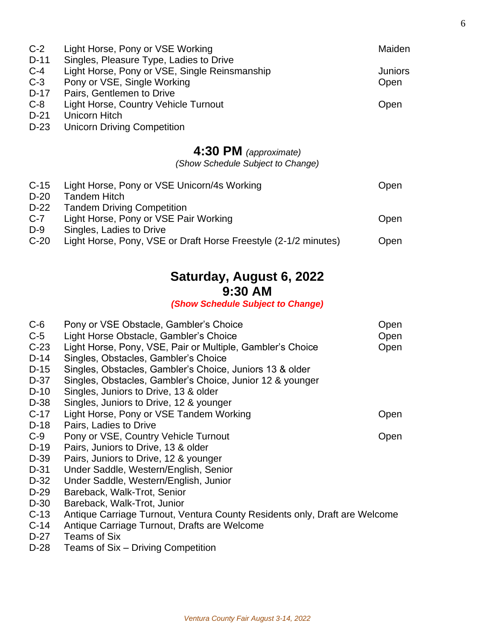| $C-2$  | Light Horse, Pony or VSE Working                                | Maiden  |
|--------|-----------------------------------------------------------------|---------|
| $D-11$ | Singles, Pleasure Type, Ladies to Drive                         |         |
| $C-4$  | Light Horse, Pony or VSE, Single Reinsmanship                   | Juniors |
| $C-3$  | Pony or VSE, Single Working                                     | Open    |
| $D-17$ | Pairs, Gentlemen to Drive                                       |         |
| $C-8$  | Light Horse, Country Vehicle Turnout                            | Open    |
| $D-21$ | Unicorn Hitch                                                   |         |
| $D-23$ | <b>Unicorn Driving Competition</b>                              |         |
|        |                                                                 |         |
|        | 4:30 PM (approximate)                                           |         |
|        | (Show Schedule Subject to Change)                               |         |
| $C-15$ | Light Horse, Pony or VSE Unicorn/4s Working                     | Open    |
| $D-20$ | <b>Tandem Hitch</b>                                             |         |
| $D-22$ | <b>Tandem Driving Competition</b>                               |         |
| $C-7$  | Light Horse, Pony or VSE Pair Working                           | Open    |
| $D-9$  | Singles, Ladies to Drive                                        |         |
| $C-20$ | Light Horse, Pony, VSE or Draft Horse Freestyle (2-1/2 minutes) | Open    |
|        |                                                                 |         |
|        |                                                                 |         |

### **Saturday, August 6, 2022 9:30 AM**

*(Show Schedule Subject to Change)*

| $C-6$<br>$C-5$<br>$C-23$<br>$D-14$<br>$D-15$<br>D-37<br>$D-10$ | Pony or VSE Obstacle, Gambler's Choice<br>Light Horse Obstacle, Gambler's Choice<br>Light Horse, Pony, VSE, Pair or Multiple, Gambler's Choice<br>Singles, Obstacles, Gambler's Choice<br>Singles, Obstacles, Gambler's Choice, Juniors 13 & older<br>Singles, Obstacles, Gambler's Choice, Junior 12 & younger<br>Singles, Juniors to Drive, 13 & older | Open<br>Open<br>Open |
|----------------------------------------------------------------|----------------------------------------------------------------------------------------------------------------------------------------------------------------------------------------------------------------------------------------------------------------------------------------------------------------------------------------------------------|----------------------|
| D-38                                                           | Singles, Juniors to Drive, 12 & younger                                                                                                                                                                                                                                                                                                                  |                      |
| $C-17$                                                         | Light Horse, Pony or VSE Tandem Working                                                                                                                                                                                                                                                                                                                  | Open                 |
| $D-18$                                                         | Pairs, Ladies to Drive                                                                                                                                                                                                                                                                                                                                   |                      |
| $C-9$                                                          | Pony or VSE, Country Vehicle Turnout                                                                                                                                                                                                                                                                                                                     | Open                 |
| $D-19$                                                         | Pairs, Juniors to Drive, 13 & older                                                                                                                                                                                                                                                                                                                      |                      |
| D-39                                                           | Pairs, Juniors to Drive, 12 & younger                                                                                                                                                                                                                                                                                                                    |                      |
| D-31                                                           | Under Saddle, Western/English, Senior                                                                                                                                                                                                                                                                                                                    |                      |
| D-32                                                           | Under Saddle, Western/English, Junior                                                                                                                                                                                                                                                                                                                    |                      |
| $D-29$                                                         | Bareback, Walk-Trot, Senior                                                                                                                                                                                                                                                                                                                              |                      |
| D-30                                                           | Bareback, Walk-Trot, Junior                                                                                                                                                                                                                                                                                                                              |                      |
| $C-13$                                                         | Antique Carriage Turnout, Ventura County Residents only, Draft are Welcome                                                                                                                                                                                                                                                                               |                      |
| $C-14$                                                         | Antique Carriage Turnout, Drafts are Welcome                                                                                                                                                                                                                                                                                                             |                      |
| $D-27$                                                         | Teams of Six                                                                                                                                                                                                                                                                                                                                             |                      |
| $D-28$                                                         | Teams of Six – Driving Competition                                                                                                                                                                                                                                                                                                                       |                      |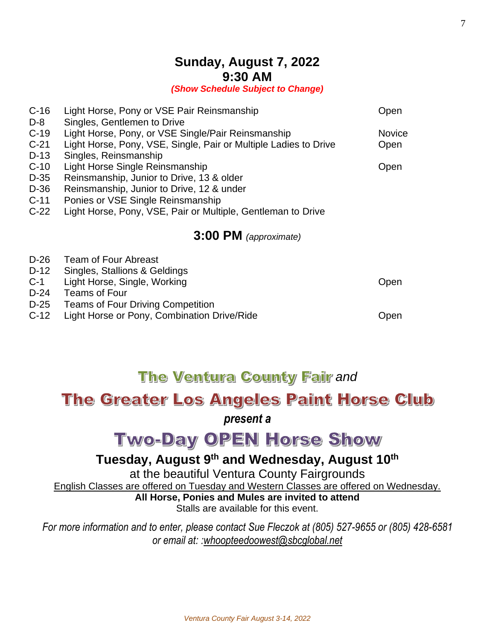### **Sunday, August 7, 2022 9:30 AM**

*(Show Schedule Subject to Change)*

| $C-16$<br>D-8 | Light Horse, Pony or VSE Pair Reinsmanship<br>Singles, Gentlemen to Drive | Open          |
|---------------|---------------------------------------------------------------------------|---------------|
| $C-19$        | Light Horse, Pony, or VSE Single/Pair Reinsmanship                        | <b>Novice</b> |
| $C-21$        | Light Horse, Pony, VSE, Single, Pair or Multiple Ladies to Drive          | Open          |
| $D-13$        | Singles, Reinsmanship                                                     |               |
| $C-10$        | Light Horse Single Reinsmanship                                           | Open          |
| D-35          | Reinsmanship, Junior to Drive, 13 & older                                 |               |
| D-36          | Reinsmanship, Junior to Drive, 12 & under                                 |               |
| $C-11$        | Ponies or VSE Single Reinsmanship                                         |               |
| $C-22$        | Light Horse, Pony, VSE, Pair or Multiple, Gentleman to Drive              |               |
|               | 3:00 PM (approximate)                                                     |               |
| D-26          | <b>Team of Four Abreast</b>                                               |               |
| $D-12$        | Singles, Stallions & Geldings                                             |               |
| $C-1$         | Light Horse, Single, Working                                              | Open          |
| D-24          | <b>Teams of Four</b>                                                      |               |
| D-25          | <b>Teams of Four Driving Competition</b>                                  |               |
| $C-12$        | Light Horse or Pony, Combination Drive/Ride                               | Open          |

## **The Ventura County Fair and**

### The Greater Los Angeles Paint Horse Club

### *present a*

# **Two-Day OPEN Horse Show**

### **Tuesday, August 9 th and Wednesday, August 10 th**

at the beautiful Ventura County Fairgrounds

English Classes are offered on Tuesday and Western Classes are offered on Wednesday.

**All Horse, Ponies and Mules are invited to attend** Stalls are available for this event.

*For more information and to enter, please contact Sue Fleczok at (805) 527-9655 or (805) 428-6581 or email at: [:whoopteedoowest@sbcglobal.net](mailto:whoopteedoowest@sbcglobal.net)*